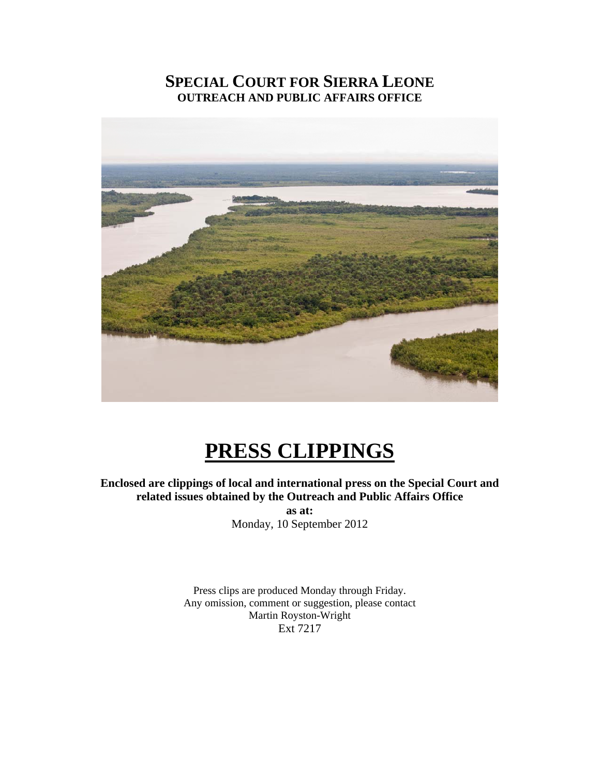# **SPECIAL COURT FOR SIERRA LEONE OUTREACH AND PUBLIC AFFAIRS OFFICE**



# **PRESS CLIPPINGS**

**Enclosed are clippings of local and international press on the Special Court and related issues obtained by the Outreach and Public Affairs Office** 

> **as at:**  Monday, 10 September 2012

Press clips are produced Monday through Friday. Any omission, comment or suggestion, please contact Martin Royston-Wright Ext 7217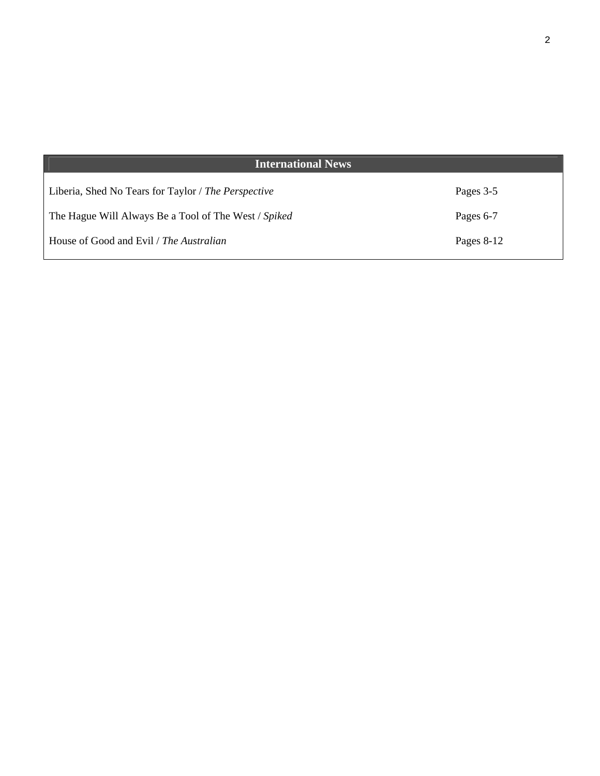| <b>International News</b>                            |              |
|------------------------------------------------------|--------------|
| Liberia, Shed No Tears for Taylor / The Perspective  | Pages 3-5    |
| The Hague Will Always Be a Tool of The West / Spiked | Pages 6-7    |
| House of Good and Evil / The Australian              | Pages $8-12$ |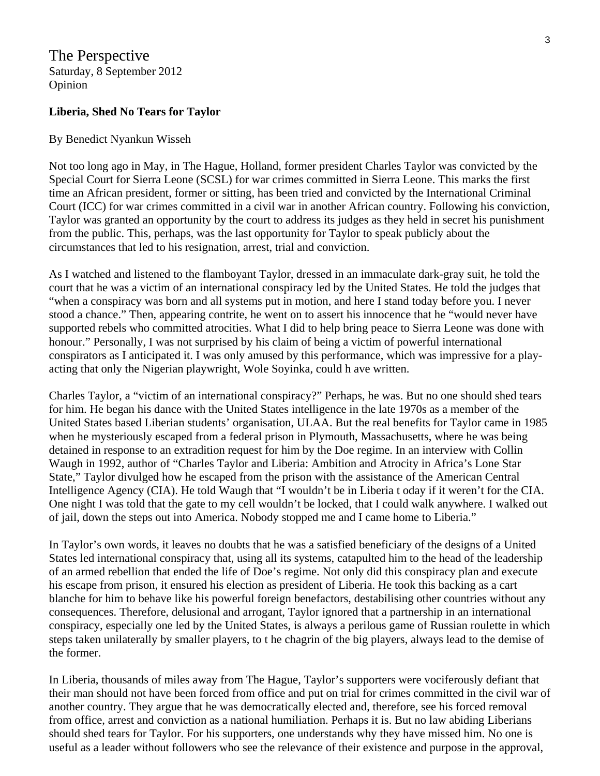The Perspective Saturday, 8 September 2012 Opinion

#### **Liberia, Shed No Tears for Taylor**

#### By Benedict Nyankun Wisseh

Not too long ago in May, in The Hague, Holland, former president Charles Taylor was convicted by the Special Court for Sierra Leone (SCSL) for war crimes committed in Sierra Leone. This marks the first time an African president, former or sitting, has been tried and convicted by the International Criminal Court (ICC) for war crimes committed in a civil war in another African country. Following his conviction, Taylor was granted an opportunity by the court to address its judges as they held in secret his punishment from the public. This, perhaps, was the last opportunity for Taylor to speak publicly about the circumstances that led to his resignation, arrest, trial and conviction.

As I watched and listened to the flamboyant Taylor, dressed in an immaculate dark-gray suit, he told the court that he was a victim of an international conspiracy led by the United States. He told the judges that "when a conspiracy was born and all systems put in motion, and here I stand today before you. I never stood a chance." Then, appearing contrite, he went on to assert his innocence that he "would never have supported rebels who committed atrocities. What I did to help bring peace to Sierra Leone was done with honour." Personally, I was not surprised by his claim of being a victim of powerful international conspirators as I anticipated it. I was only amused by this performance, which was impressive for a playacting that only the Nigerian playwright, Wole Soyinka, could h ave written.

Charles Taylor, a "victim of an international conspiracy?" Perhaps, he was. But no one should shed tears for him. He began his dance with the United States intelligence in the late 1970s as a member of the United States based Liberian students' organisation, ULAA. But the real benefits for Taylor came in 1985 when he mysteriously escaped from a federal prison in Plymouth, Massachusetts, where he was being detained in response to an extradition request for him by the Doe regime. In an interview with Collin Waugh in 1992, author of "Charles Taylor and Liberia: Ambition and Atrocity in Africa's Lone Star State," Taylor divulged how he escaped from the prison with the assistance of the American Central Intelligence Agency (CIA). He told Waugh that "I wouldn't be in Liberia t oday if it weren't for the CIA. One night I was told that the gate to my cell wouldn't be locked, that I could walk anywhere. I walked out of jail, down the steps out into America. Nobody stopped me and I came home to Liberia."

In Taylor's own words, it leaves no doubts that he was a satisfied beneficiary of the designs of a United States led international conspiracy that, using all its systems, catapulted him to the head of the leadership of an armed rebellion that ended the life of Doe's regime. Not only did this conspiracy plan and execute his escape from prison, it ensured his election as president of Liberia. He took this backing as a cart blanche for him to behave like his powerful foreign benefactors, destabilising other countries without any consequences. Therefore, delusional and arrogant, Taylor ignored that a partnership in an international conspiracy, especially one led by the United States, is always a perilous game of Russian roulette in which steps taken unilaterally by smaller players, to t he chagrin of the big players, always lead to the demise of the former.

In Liberia, thousands of miles away from The Hague, Taylor's supporters were vociferously defiant that their man should not have been forced from office and put on trial for crimes committed in the civil war of another country. They argue that he was democratically elected and, therefore, see his forced removal from office, arrest and conviction as a national humiliation. Perhaps it is. But no law abiding Liberians should shed tears for Taylor. For his supporters, one understands why they have missed him. No one is useful as a leader without followers who see the relevance of their existence and purpose in the approval,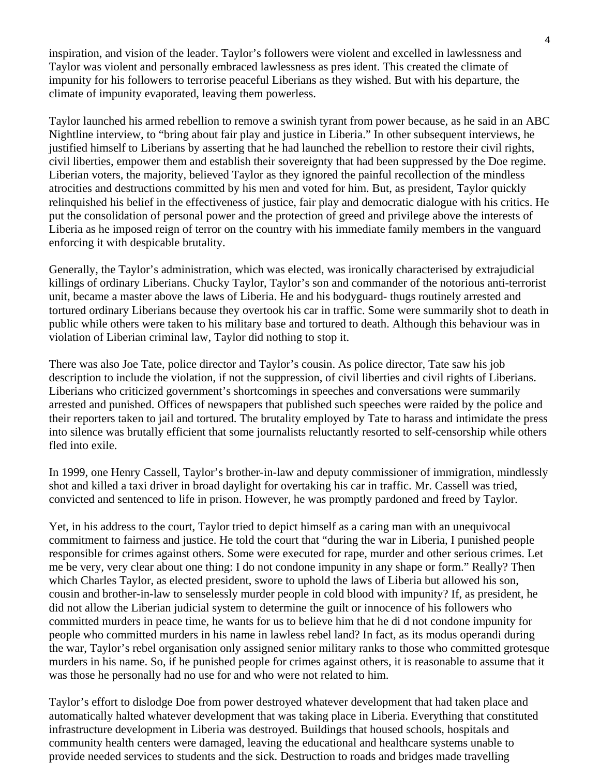inspiration, and vision of the leader. Taylor's followers were violent and excelled in lawlessness and Taylor was violent and personally embraced lawlessness as pres ident. This created the climate of impunity for his followers to terrorise peaceful Liberians as they wished. But with his departure, the climate of impunity evaporated, leaving them powerless.

Taylor launched his armed rebellion to remove a swinish tyrant from power because, as he said in an ABC Nightline interview, to "bring about fair play and justice in Liberia." In other subsequent interviews, he justified himself to Liberians by asserting that he had launched the rebellion to restore their civil rights, civil liberties, empower them and establish their sovereignty that had been suppressed by the Doe regime. Liberian voters, the majority, believed Taylor as they ignored the painful recollection of the mindless atrocities and destructions committed by his men and voted for him. But, as president, Taylor quickly relinquished his belief in the effectiveness of justice, fair play and democratic dialogue with his critics. He put the consolidation of personal power and the protection of greed and privilege above the interests of Liberia as he imposed reign of terror on the country with his immediate family members in the vanguard enforcing it with despicable brutality.

Generally, the Taylor's administration, which was elected, was ironically characterised by extrajudicial killings of ordinary Liberians. Chucky Taylor, Taylor's son and commander of the notorious anti-terrorist unit, became a master above the laws of Liberia. He and his bodyguard- thugs routinely arrested and tortured ordinary Liberians because they overtook his car in traffic. Some were summarily shot to death in public while others were taken to his military base and tortured to death. Although this behaviour was in violation of Liberian criminal law, Taylor did nothing to stop it.

There was also Joe Tate, police director and Taylor's cousin. As police director, Tate saw his job description to include the violation, if not the suppression, of civil liberties and civil rights of Liberians. Liberians who criticized government's shortcomings in speeches and conversations were summarily arrested and punished. Offices of newspapers that published such speeches were raided by the police and their reporters taken to jail and tortured. The brutality employed by Tate to harass and intimidate the press into silence was brutally efficient that some journalists reluctantly resorted to self-censorship while others fled into exile.

In 1999, one Henry Cassell, Taylor's brother-in-law and deputy commissioner of immigration, mindlessly shot and killed a taxi driver in broad daylight for overtaking his car in traffic. Mr. Cassell was tried, convicted and sentenced to life in prison. However, he was promptly pardoned and freed by Taylor.

Yet, in his address to the court, Taylor tried to depict himself as a caring man with an unequivocal commitment to fairness and justice. He told the court that "during the war in Liberia, I punished people responsible for crimes against others. Some were executed for rape, murder and other serious crimes. Let me be very, very clear about one thing: I do not condone impunity in any shape or form." Really? Then which Charles Taylor, as elected president, swore to uphold the laws of Liberia but allowed his son, cousin and brother-in-law to senselessly murder people in cold blood with impunity? If, as president, he did not allow the Liberian judicial system to determine the guilt or innocence of his followers who committed murders in peace time, he wants for us to believe him that he di d not condone impunity for people who committed murders in his name in lawless rebel land? In fact, as its modus operandi during the war, Taylor's rebel organisation only assigned senior military ranks to those who committed grotesque murders in his name. So, if he punished people for crimes against others, it is reasonable to assume that it was those he personally had no use for and who were not related to him.

Taylor's effort to dislodge Doe from power destroyed whatever development that had taken place and automatically halted whatever development that was taking place in Liberia. Everything that constituted infrastructure development in Liberia was destroyed. Buildings that housed schools, hospitals and community health centers were damaged, leaving the educational and healthcare systems unable to provide needed services to students and the sick. Destruction to roads and bridges made travelling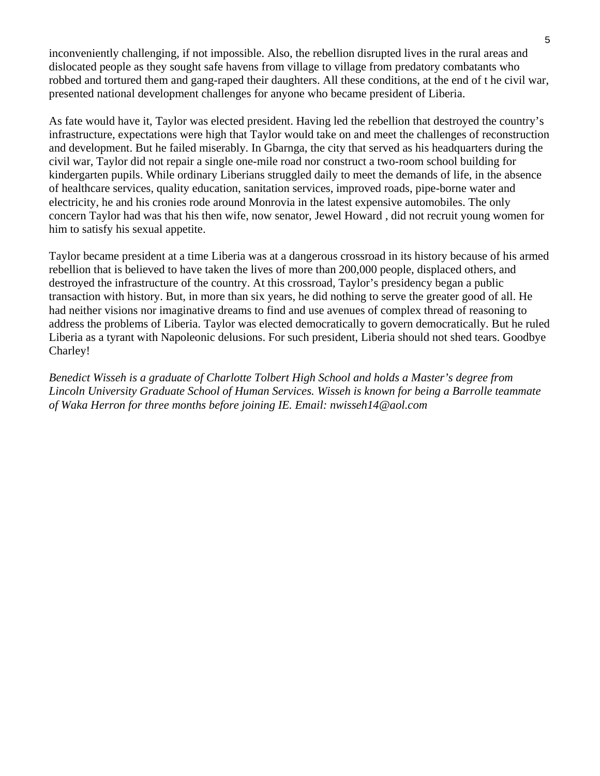inconveniently challenging, if not impossible. Also, the rebellion disrupted lives in the rural areas and dislocated people as they sought safe havens from village to village from predatory combatants who robbed and tortured them and gang-raped their daughters. All these conditions, at the end of t he civil war, presented national development challenges for anyone who became president of Liberia.

As fate would have it, Taylor was elected president. Having led the rebellion that destroyed the country's infrastructure, expectations were high that Taylor would take on and meet the challenges of reconstruction and development. But he failed miserably. In Gbarnga, the city that served as his headquarters during the civil war, Taylor did not repair a single one-mile road nor construct a two-room school building for kindergarten pupils. While ordinary Liberians struggled daily to meet the demands of life, in the absence of healthcare services, quality education, sanitation services, improved roads, pipe-borne water and electricity, he and his cronies rode around Monrovia in the latest expensive automobiles. The only concern Taylor had was that his then wife, now senator, Jewel Howard , did not recruit young women for him to satisfy his sexual appetite.

Taylor became president at a time Liberia was at a dangerous crossroad in its history because of his armed rebellion that is believed to have taken the lives of more than 200,000 people, displaced others, and destroyed the infrastructure of the country. At this crossroad, Taylor's presidency began a public transaction with history. But, in more than six years, he did nothing to serve the greater good of all. He had neither visions nor imaginative dreams to find and use avenues of complex thread of reasoning to address the problems of Liberia. Taylor was elected democratically to govern democratically. But he ruled Liberia as a tyrant with Napoleonic delusions. For such president, Liberia should not shed tears. Goodbye Charley!

*Benedict Wisseh is a graduate of Charlotte Tolbert High School and holds a Master's degree from Lincoln University Graduate School of Human Services. Wisseh is known for being a Barrolle teammate of Waka Herron for three months before joining IE. Email: nwisseh14@aol.com*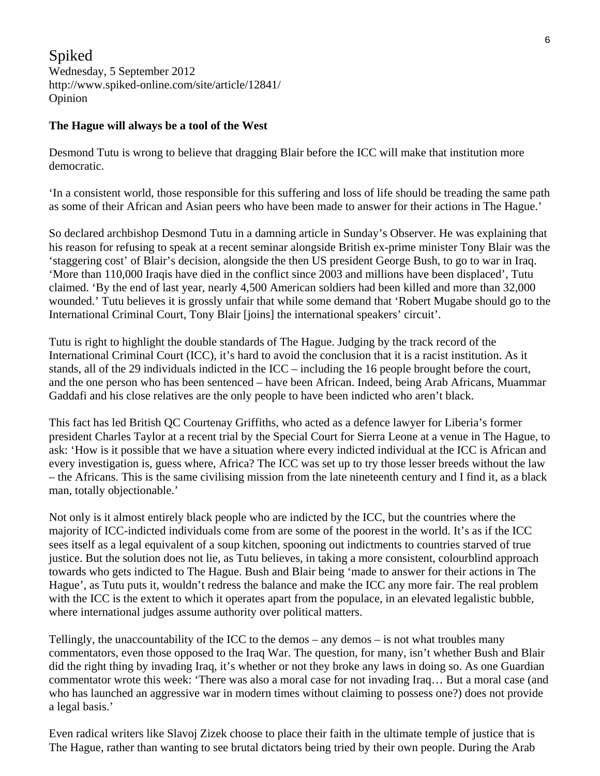Spiked Wednesday, 5 September 2012 http://www.spiked-online.com/site/article/12841/ Opinion

#### **The Hague will always be a tool of the West**

Desmond Tutu is wrong to believe that dragging Blair before the ICC will make that institution more democratic.

'In a consistent world, those responsible for this suffering and loss of life should be treading the same path as some of their African and Asian peers who have been made to answer for their actions in The Hague.'

So declared archbishop Desmond Tutu in a damning article in Sunday's Observer. He was explaining that his reason for refusing to speak at a recent seminar alongside British ex-prime minister Tony Blair was the 'staggering cost' of Blair's decision, alongside the then US president George Bush, to go to war in Iraq. 'More than 110,000 Iraqis have died in the conflict since 2003 and millions have been displaced', Tutu claimed. 'By the end of last year, nearly 4,500 American soldiers had been killed and more than 32,000 wounded.' Tutu believes it is grossly unfair that while some demand that 'Robert Mugabe should go to the International Criminal Court, Tony Blair [joins] the international speakers' circuit'.

Tutu is right to highlight the double standards of The Hague. Judging by the track record of the International Criminal Court (ICC), it's hard to avoid the conclusion that it is a racist institution. As it stands, all of the 29 individuals indicted in the ICC – including the 16 people brought before the court, and the one person who has been sentenced – have been African. Indeed, being Arab Africans, Muammar Gaddafi and his close relatives are the only people to have been indicted who aren't black.

This fact has led British QC Courtenay Griffiths, who acted as a defence lawyer for Liberia's former president Charles Taylor at a recent trial by the Special Court for Sierra Leone at a venue in The Hague, to ask: 'How is it possible that we have a situation where every indicted individual at the ICC is African and every investigation is, guess where, Africa? The ICC was set up to try those lesser breeds without the law – the Africans. This is the same civilising mission from the late nineteenth century and I find it, as a black man, totally objectionable.'

Not only is it almost entirely black people who are indicted by the ICC, but the countries where the majority of ICC-indicted individuals come from are some of the poorest in the world. It's as if the ICC sees itself as a legal equivalent of a soup kitchen, spooning out indictments to countries starved of true justice. But the solution does not lie, as Tutu believes, in taking a more consistent, colourblind approach towards who gets indicted to The Hague. Bush and Blair being 'made to answer for their actions in The Hague', as Tutu puts it, wouldn't redress the balance and make the ICC any more fair. The real problem with the ICC is the extent to which it operates apart from the populace, in an elevated legalistic bubble, where international judges assume authority over political matters.

Tellingly, the unaccountability of the ICC to the demos – any demos – is not what troubles many commentators, even those opposed to the Iraq War. The question, for many, isn't whether Bush and Blair did the right thing by invading Iraq, it's whether or not they broke any laws in doing so. As one Guardian commentator wrote this week: 'There was also a moral case for not invading Iraq… But a moral case (and who has launched an aggressive war in modern times without claiming to possess one?) does not provide a legal basis.'

Even radical writers like Slavoj Zizek choose to place their faith in the ultimate temple of justice that is The Hague, rather than wanting to see brutal dictators being tried by their own people. During the Arab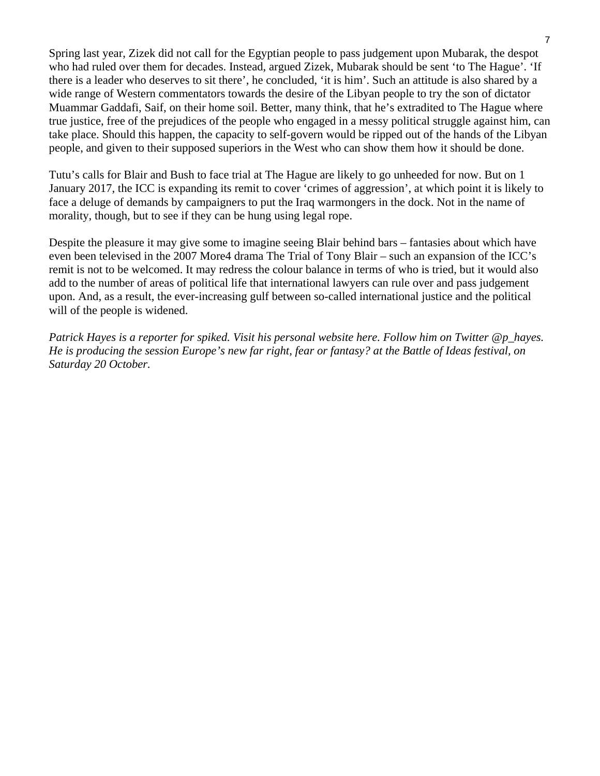Spring last year, Zizek did not call for the Egyptian people to pass judgement upon Mubarak, the despot who had ruled over them for decades. Instead, argued Zizek, Mubarak should be sent 'to The Hague'. 'If there is a leader who deserves to sit there', he concluded, 'it is him'. Such an attitude is also shared by a wide range of Western commentators towards the desire of the Libyan people to try the son of dictator Muammar Gaddafi, Saif, on their home soil. Better, many think, that he's extradited to The Hague where true justice, free of the prejudices of the people who engaged in a messy political struggle against him, can take place. Should this happen, the capacity to self-govern would be ripped out of the hands of the Libyan people, and given to their supposed superiors in the West who can show them how it should be done.

Tutu's calls for Blair and Bush to face trial at The Hague are likely to go unheeded for now. But on 1 January 2017, the ICC is expanding its remit to cover 'crimes of aggression', at which point it is likely to face a deluge of demands by campaigners to put the Iraq warmongers in the dock. Not in the name of morality, though, but to see if they can be hung using legal rope.

Despite the pleasure it may give some to imagine seeing Blair behind bars – fantasies about which have even been televised in the 2007 More4 drama The Trial of Tony Blair – such an expansion of the ICC's remit is not to be welcomed. It may redress the colour balance in terms of who is tried, but it would also add to the number of areas of political life that international lawyers can rule over and pass judgement upon. And, as a result, the ever-increasing gulf between so-called international justice and the political will of the people is widened.

*Patrick Hayes is a reporter for spiked. Visit his personal website here. Follow him on Twitter @p\_hayes. He is producing the session Europe's new far right, fear or fantasy? at the Battle of Ideas festival, on Saturday 20 October.*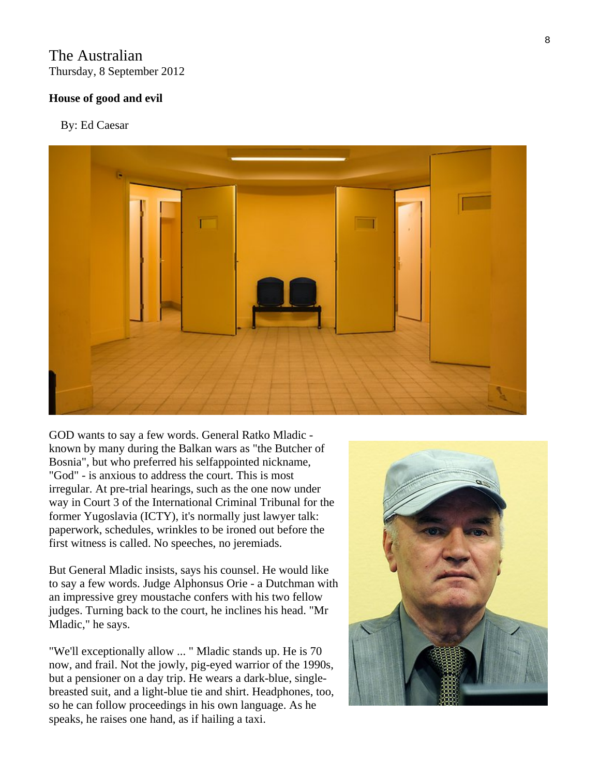## The Australian Thursday, 8 September 2012

## **House of good and evil**

By: Ed Caesar



GOD wants to say a few words. General Ratko Mladic known by many during the Balkan wars as "the Butcher of Bosnia", but who preferred his selfappointed nickname, "God" - is anxious to address the court. This is most irregular. At pre-trial hearings, such as the one now under way in Court 3 of the International Criminal Tribunal for the former Yugoslavia (ICTY), it's normally just lawyer talk: paperwork, schedules, wrinkles to be ironed out before the first witness is called. No speeches, no jeremiads.

But General Mladic insists, says his counsel. He would like to say a few words. Judge Alphonsus Orie - a Dutchman with an impressive grey moustache confers with his two fellow judges. Turning back to the court, he inclines his head. "Mr Mladic," he says.

"We'll exceptionally allow ... " Mladic stands up. He is 70 now, and frail. Not the jowly, pig-eyed warrior of the 1990s, but a pensioner on a day trip. He wears a dark-blue, singlebreasted suit, and a light-blue tie and shirt. Headphones, too, so he can follow proceedings in his own language. As he speaks, he raises one hand, as if hailing a taxi.

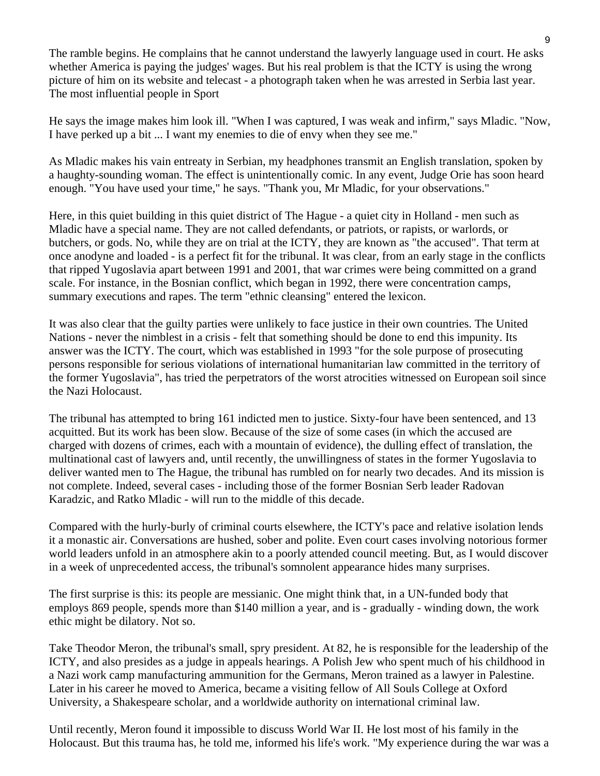The ramble begins. He complains that he cannot understand the lawyerly language used in court. He asks whether America is paying the judges' wages. But his real problem is that the ICTY is using the wrong picture of him on its website and telecast - a photograph taken when he was arrested in Serbia last year. The most influential people in Sport

He says the image makes him look ill. "When I was captured, I was weak and infirm," says Mladic. "Now, I have perked up a bit ... I want my enemies to die of envy when they see me."

As Mladic makes his vain entreaty in Serbian, my headphones transmit an English translation, spoken by a haughty-sounding woman. The effect is unintentionally comic. In any event, Judge Orie has soon heard enough. "You have used your time," he says. "Thank you, Mr Mladic, for your observations."

Here, in this quiet building in this quiet district of The Hague - a quiet city in Holland - men such as Mladic have a special name. They are not called defendants, or patriots, or rapists, or warlords, or butchers, or gods. No, while they are on trial at the ICTY, they are known as "the accused". That term at once anodyne and loaded - is a perfect fit for the tribunal. It was clear, from an early stage in the conflicts that ripped Yugoslavia apart between 1991 and 2001, that war crimes were being committed on a grand scale. For instance, in the Bosnian conflict, which began in 1992, there were concentration camps, summary executions and rapes. The term "ethnic cleansing" entered the lexicon.

It was also clear that the guilty parties were unlikely to face justice in their own countries. The United Nations - never the nimblest in a crisis - felt that something should be done to end this impunity. Its answer was the ICTY. The court, which was established in 1993 "for the sole purpose of prosecuting persons responsible for serious violations of international humanitarian law committed in the territory of the former Yugoslavia", has tried the perpetrators of the worst atrocities witnessed on European soil since the Nazi Holocaust.

The tribunal has attempted to bring 161 indicted men to justice. Sixty-four have been sentenced, and 13 acquitted. But its work has been slow. Because of the size of some cases (in which the accused are charged with dozens of crimes, each with a mountain of evidence), the dulling effect of translation, the multinational cast of lawyers and, until recently, the unwillingness of states in the former Yugoslavia to deliver wanted men to The Hague, the tribunal has rumbled on for nearly two decades. And its mission is not complete. Indeed, several cases - including those of the former Bosnian Serb leader Radovan Karadzic, and Ratko Mladic - will run to the middle of this decade.

Compared with the hurly-burly of criminal courts elsewhere, the ICTY's pace and relative isolation lends it a monastic air. Conversations are hushed, sober and polite. Even court cases involving notorious former world leaders unfold in an atmosphere akin to a poorly attended council meeting. But, as I would discover in a week of unprecedented access, the tribunal's somnolent appearance hides many surprises.

The first surprise is this: its people are messianic. One might think that, in a UN-funded body that employs 869 people, spends more than \$140 million a year, and is - gradually - winding down, the work ethic might be dilatory. Not so.

Take Theodor Meron, the tribunal's small, spry president. At 82, he is responsible for the leadership of the ICTY, and also presides as a judge in appeals hearings. A Polish Jew who spent much of his childhood in a Nazi work camp manufacturing ammunition for the Germans, Meron trained as a lawyer in Palestine. Later in his career he moved to America, became a visiting fellow of All Souls College at Oxford University, a Shakespeare scholar, and a worldwide authority on international criminal law.

Until recently, Meron found it impossible to discuss World War II. He lost most of his family in the Holocaust. But this trauma has, he told me, informed his life's work. "My experience during the war was a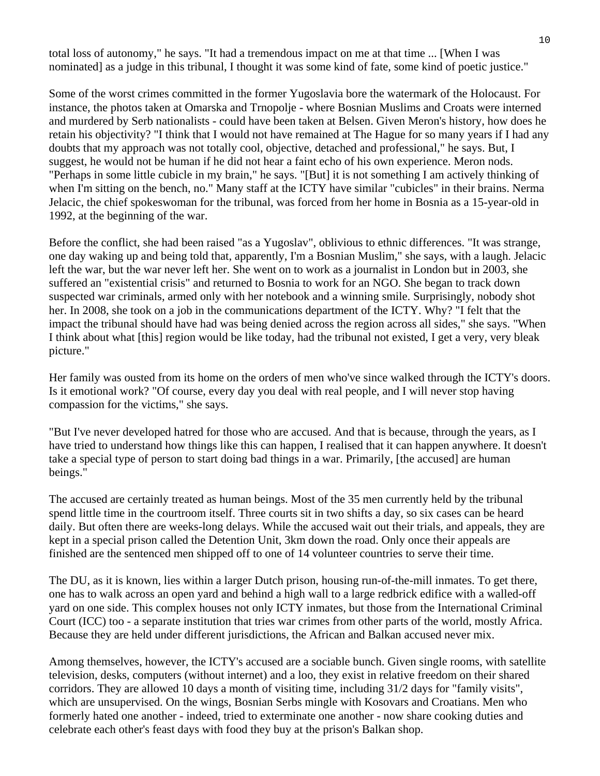total loss of autonomy," he says. "It had a tremendous impact on me at that time ... [When I was nominated] as a judge in this tribunal, I thought it was some kind of fate, some kind of poetic justice."

Some of the worst crimes committed in the former Yugoslavia bore the watermark of the Holocaust. For instance, the photos taken at Omarska and Trnopolje - where Bosnian Muslims and Croats were interned and murdered by Serb nationalists - could have been taken at Belsen. Given Meron's history, how does he retain his objectivity? "I think that I would not have remained at The Hague for so many years if I had any doubts that my approach was not totally cool, objective, detached and professional," he says. But, I suggest, he would not be human if he did not hear a faint echo of his own experience. Meron nods. "Perhaps in some little cubicle in my brain," he says. "[But] it is not something I am actively thinking of when I'm sitting on the bench, no." Many staff at the ICTY have similar "cubicles" in their brains. Nerma Jelacic, the chief spokeswoman for the tribunal, was forced from her home in Bosnia as a 15-year-old in 1992, at the beginning of the war.

Before the conflict, she had been raised "as a Yugoslav", oblivious to ethnic differences. "It was strange, one day waking up and being told that, apparently, I'm a Bosnian Muslim," she says, with a laugh. Jelacic left the war, but the war never left her. She went on to work as a journalist in London but in 2003, she suffered an "existential crisis" and returned to Bosnia to work for an NGO. She began to track down suspected war criminals, armed only with her notebook and a winning smile. Surprisingly, nobody shot her. In 2008, she took on a job in the communications department of the ICTY. Why? "I felt that the impact the tribunal should have had was being denied across the region across all sides," she says. "When I think about what [this] region would be like today, had the tribunal not existed, I get a very, very bleak picture."

Her family was ousted from its home on the orders of men who've since walked through the ICTY's doors. Is it emotional work? "Of course, every day you deal with real people, and I will never stop having compassion for the victims," she says.

"But I've never developed hatred for those who are accused. And that is because, through the years, as I have tried to understand how things like this can happen, I realised that it can happen anywhere. It doesn't take a special type of person to start doing bad things in a war. Primarily, [the accused] are human beings."

The accused are certainly treated as human beings. Most of the 35 men currently held by the tribunal spend little time in the courtroom itself. Three courts sit in two shifts a day, so six cases can be heard daily. But often there are weeks-long delays. While the accused wait out their trials, and appeals, they are kept in a special prison called the Detention Unit, 3km down the road. Only once their appeals are finished are the sentenced men shipped off to one of 14 volunteer countries to serve their time.

The DU, as it is known, lies within a larger Dutch prison, housing run-of-the-mill inmates. To get there, one has to walk across an open yard and behind a high wall to a large redbrick edifice with a walled-off yard on one side. This complex houses not only ICTY inmates, but those from the International Criminal Court (ICC) too - a separate institution that tries war crimes from other parts of the world, mostly Africa. Because they are held under different jurisdictions, the African and Balkan accused never mix.

Among themselves, however, the ICTY's accused are a sociable bunch. Given single rooms, with satellite television, desks, computers (without internet) and a loo, they exist in relative freedom on their shared corridors. They are allowed 10 days a month of visiting time, including 31/2 days for "family visits", which are unsupervised. On the wings, Bosnian Serbs mingle with Kosovars and Croatians. Men who formerly hated one another - indeed, tried to exterminate one another - now share cooking duties and celebrate each other's feast days with food they buy at the prison's Balkan shop.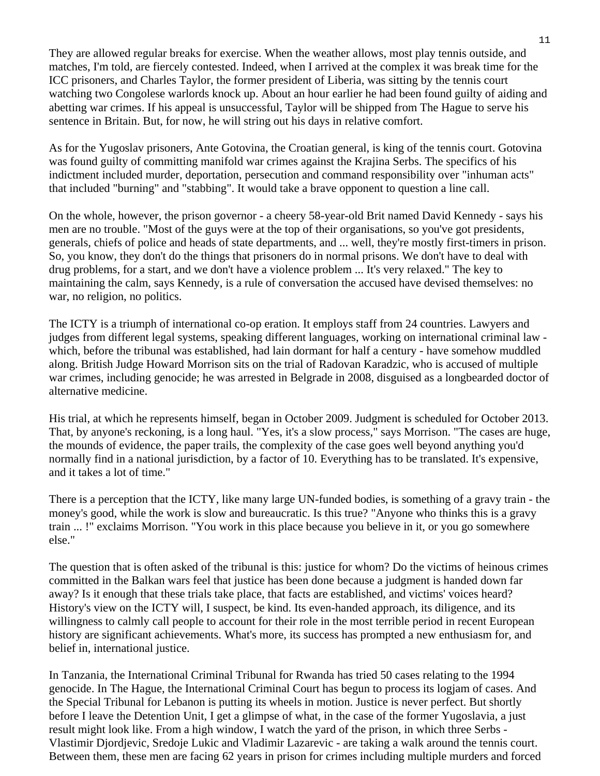They are allowed regular breaks for exercise. When the weather allows, most play tennis outside, and matches, I'm told, are fiercely contested. Indeed, when I arrived at the complex it was break time for the ICC prisoners, and Charles Taylor, the former president of Liberia, was sitting by the tennis court watching two Congolese warlords knock up. About an hour earlier he had been found guilty of aiding and abetting war crimes. If his appeal is unsuccessful, Taylor will be shipped from The Hague to serve his sentence in Britain. But, for now, he will string out his days in relative comfort.

As for the Yugoslav prisoners, Ante Gotovina, the Croatian general, is king of the tennis court. Gotovina was found guilty of committing manifold war crimes against the Krajina Serbs. The specifics of his indictment included murder, deportation, persecution and command responsibility over "inhuman acts" that included "burning" and "stabbing". It would take a brave opponent to question a line call.

On the whole, however, the prison governor - a cheery 58-year-old Brit named David Kennedy - says his men are no trouble. "Most of the guys were at the top of their organisations, so you've got presidents, generals, chiefs of police and heads of state departments, and ... well, they're mostly first-timers in prison. So, you know, they don't do the things that prisoners do in normal prisons. We don't have to deal with drug problems, for a start, and we don't have a violence problem ... It's very relaxed." The key to maintaining the calm, says Kennedy, is a rule of conversation the accused have devised themselves: no war, no religion, no politics.

The ICTY is a triumph of international co-op eration. It employs staff from 24 countries. Lawyers and judges from different legal systems, speaking different languages, working on international criminal law which, before the tribunal was established, had lain dormant for half a century - have somehow muddled along. British Judge Howard Morrison sits on the trial of Radovan Karadzic, who is accused of multiple war crimes, including genocide; he was arrested in Belgrade in 2008, disguised as a longbearded doctor of alternative medicine.

His trial, at which he represents himself, began in October 2009. Judgment is scheduled for October 2013. That, by anyone's reckoning, is a long haul. "Yes, it's a slow process," says Morrison. "The cases are huge, the mounds of evidence, the paper trails, the complexity of the case goes well beyond anything you'd normally find in a national jurisdiction, by a factor of 10. Everything has to be translated. It's expensive, and it takes a lot of time."

There is a perception that the ICTY, like many large UN-funded bodies, is something of a gravy train - the money's good, while the work is slow and bureaucratic. Is this true? "Anyone who thinks this is a gravy train ... !" exclaims Morrison. "You work in this place because you believe in it, or you go somewhere else."

The question that is often asked of the tribunal is this: justice for whom? Do the victims of heinous crimes committed in the Balkan wars feel that justice has been done because a judgment is handed down far away? Is it enough that these trials take place, that facts are established, and victims' voices heard? History's view on the ICTY will, I suspect, be kind. Its even-handed approach, its diligence, and its willingness to calmly call people to account for their role in the most terrible period in recent European history are significant achievements. What's more, its success has prompted a new enthusiasm for, and belief in, international justice.

In Tanzania, the International Criminal Tribunal for Rwanda has tried 50 cases relating to the 1994 genocide. In The Hague, the International Criminal Court has begun to process its logjam of cases. And the Special Tribunal for Lebanon is putting its wheels in motion. Justice is never perfect. But shortly before I leave the Detention Unit, I get a glimpse of what, in the case of the former Yugoslavia, a just result might look like. From a high window, I watch the yard of the prison, in which three Serbs - Vlastimir Djordjevic, Sredoje Lukic and Vladimir Lazarevic - are taking a walk around the tennis court. Between them, these men are facing 62 years in prison for crimes including multiple murders and forced